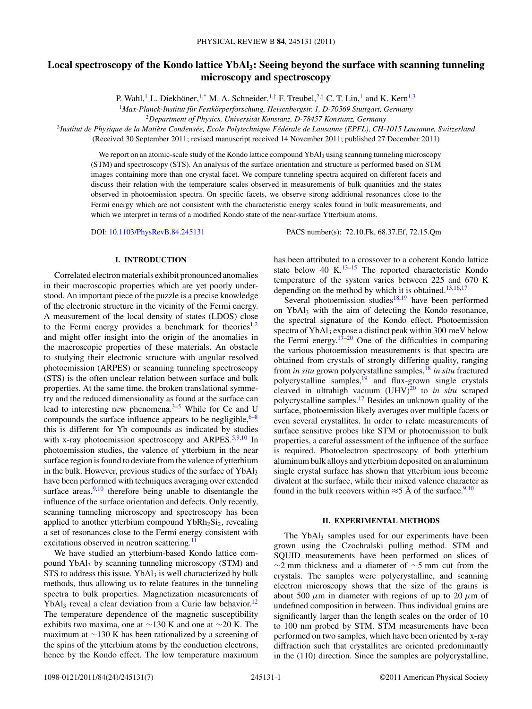# Local spectroscopy of the Kondo lattice YbAl<sub>3</sub>: Seeing beyond the surface with scanning tunneling **microscopy and spectroscopy**

P. Wahl,<sup>1</sup> L. Diekhöner,<sup>1[,\\*](#page-5-0)</sup> M. A. Schneider,<sup>1,[†](#page-5-0)</sup> F. Treubel,<sup>2,[‡](#page-5-0)</sup> C. T. Lin,<sup>1</sup> and K. Kern<sup>1,3</sup>

<sup>1</sup>Max-Planck-Institut für Festkörperforschung, Heisenbergstr. 1, D-70569 Stuttgart, Germany

<sup>2</sup>*Department of Physics, Universitat Konstanz, D-78457 Konstanz, Germany ¨*

<sup>3</sup>*Institut de Physique de la Matiere Condens ` ee, Ecole Polytechnique F ´ ed´ erale de Lausanne (EPFL), CH-1015 Lausanne, Switzerland ´*

(Received 30 September 2011; revised manuscript received 14 November 2011; published 27 December 2011)

We report on an atomic-scale study of the Kondo lattice compound YbAl<sub>3</sub> using scanning tunneling microscopy (STM) and spectroscopy (STS). An analysis of the surface orientation and structure is performed based on STM images containing more than one crystal facet. We compare tunneling spectra acquired on different facets and discuss their relation with the temperature scales observed in measurements of bulk quantities and the states observed in photoemission spectra. On specific facets, we observe strong additional resonances close to the Fermi energy which are not consistent with the characteristic energy scales found in bulk measurements, and which we interpret in terms of a modified Kondo state of the near-surface Ytterbium atoms.

DOI: [10.1103/PhysRevB.84.245131](http://dx.doi.org/10.1103/PhysRevB.84.245131) PACS number(s): 72*.*10*.*Fk, 68*.*37*.*Ef, 72*.*15*.*Qm

## **I. INTRODUCTION**

Correlated electron materials exhibit pronounced anomalies in their macroscopic properties which are yet poorly understood. An important piece of the puzzle is a precise knowledge of the electronic structure in the vicinity of the Fermi energy. A measurement of the local density of states (LDOS) close to the Fermi energy provides a benchmark for theories<sup>1,2</sup> and might offer insight into the origin of the anomalies in the macroscopic properties of these materials. An obstacle to studying their electronic structure with angular resolved photoemission (ARPES) or scanning tunneling spectroscopy (STS) is the often unclear relation between surface and bulk properties. At the same time, the broken translational symmetry and the reduced dimensionality as found at the surface can lead to interesting new phenomena. $3-5$  While for Ce and U compounds the surface influence appears to be negligible,  $6-8$ this is different for Yb compounds as indicated by studies with x-ray photoemission spectroscopy and ARPES.<sup>5,9,10</sup> In photoemission studies, the valence of ytterbium in the near surface region is found to deviate from the valence of ytterbium in the bulk. However, previous studies of the surface of YbAl3 have been performed with techniques averaging over extended surface areas,  $9,10$  therefore being unable to disentangle the influence of the surface orientation and defects. Only recently, scanning tunneling microscopy and spectroscopy has been applied to another ytterbium compound  $YbRh<sub>2</sub>Si<sub>2</sub>$ , revealing a set of resonances close to the Fermi energy consistent with excitations observed in neutron scattering.<sup>11</sup>

We have studied an ytterbium-based Kondo lattice compound YbAl3 by scanning tunneling microscopy (STM) and STS to address this issue. YbAl3 is well characterized by bulk methods, thus allowing us to relate features in the tunneling spectra to bulk properties. Magnetization measurements of  $YbAl<sub>3</sub>$  reveal a clear deviation from a Curie law behavior.<sup>[12](#page-5-0)</sup> The temperature dependence of the magnetic susceptibility exhibits two maxima, one at ∼130 K and one at ∼20 K. The maximum at ∼130 K has been rationalized by a screening of the spins of the ytterbium atoms by the conduction electrons, hence by the Kondo effect. The low temperature maximum has been attributed to a crossover to a coherent Kondo lattice state below 40 K.[13–15](#page-5-0) The reported characteristic Kondo temperature of the system varies between 225 and 670 K depending on the method by which it is obtained. $13,16,17$ 

Several photoemission studies $18,19$  $18,19$  have been performed on YbAl3 with the aim of detecting the Kondo resonance, the spectral signature of the Kondo effect. Photoemission spectra of YbAl<sub>3</sub> expose a distinct peak within 300 meV below the Fermi energy. $1^{7-20}$  One of the difficulties in comparing the various photoemission measurements is that spectra are obtained from crystals of strongly differing quality, ranging from *in situ* grown polycrystalline samples,<sup>[18](#page-5-0)</sup> *in situ* fractured polycrystalline samples,<sup>[19](#page-6-0)</sup> and flux-grown single crystals cleaved in ultrahigh vacuum  $(UHV)^{20}$  $(UHV)^{20}$  $(UHV)^{20}$  to *in situ* scraped polycrystalline samples[.17](#page-5-0) Besides an unknown quality of the surface, photoemission likely averages over multiple facets or even several crystallites. In order to relate measurements of surface sensitive probes like STM or photoemission to bulk properties, a careful assessment of the influence of the surface is required. Photoelectron spectroscopy of both ytterbium aluminum bulk alloys and ytterbium deposited on an aluminum single crystal surface has shown that ytterbium ions become divalent at the surface, while their mixed valence character as found in the bulk recovers within  $\approx$ 5 Å of the surface.<sup>[9,10](#page-5-0)</sup>

## **II. EXPERIMENTAL METHODS**

The YbAl<sub>3</sub> samples used for our experiments have been grown using the Czochralski pulling method. STM and SQUID measurements have been performed on slices of ∼2 mm thickness and a diameter of ∼5 mm cut from the crystals. The samples were polycrystalline, and scanning electron microscopy shows that the size of the grains is about 500 *μ*m in diameter with regions of up to 20 *μ*m of undefined composition in between. Thus individual grains are significantly larger than the length scales on the order of 10 to 100 nm probed by STM. STM measurements have been performed on two samples, which have been oriented by x-ray diffraction such that crystallites are oriented predominantly in the (110) direction. Since the samples are polycrystalline,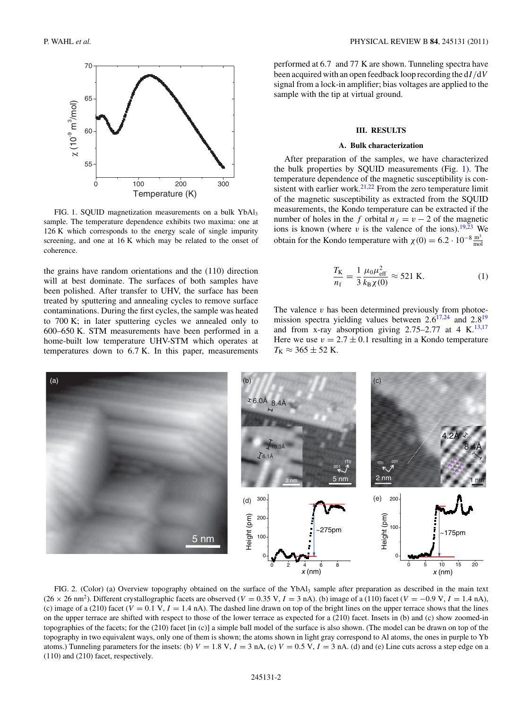<span id="page-1-0"></span>

FIG. 1. SQUID magnetization measurements on a bulk YbAl<sub>3</sub> sample. The temperature dependence exhibits two maxima: one at 126 K which corresponds to the energy scale of single impurity screening, and one at 16 K which may be related to the onset of coherence.

the grains have random orientations and the (110) direction will at best dominate. The surfaces of both samples have been polished. After transfer to UHV, the surface has been treated by sputtering and annealing cycles to remove surface contaminations. During the first cycles, the sample was heated to 700 K; in later sputtering cycles we annealed only to 600–650 K. STM measurements have been performed in a home-built low temperature UHV-STM which operates at temperatures down to 6*.*7 K. In this paper, measurements performed at 6*.*7 and 77 K are shown. Tunneling spectra have been acquired with an open feedback loop recording the d*I/*d*V* signal from a lock-in amplifier; bias voltages are applied to the sample with the tip at virtual ground.

#### **III. RESULTS**

#### **A. Bulk characterization**

After preparation of the samples, we have characterized the bulk properties by SQUID measurements (Fig. 1). The temperature dependence of the magnetic susceptibility is consistent with earlier work. $^{21,22}$  From the zero temperature limit of the magnetic susceptibility as extracted from the SQUID measurements, the Kondo temperature can be extracted if the number of holes in the *f* orbital  $n_f = v - 2$  of the magnetic ions is known (where  $v$  is the valence of the ions).<sup>19,23</sup> We obtain for the Kondo temperature with  $\chi(0) = 6.2 \cdot 10^{-8} \frac{\text{m}^3}{\text{mol}}$ 

$$
\frac{T_{\rm K}}{n_{\rm f}} = \frac{1}{3} \frac{\mu_0 \mu_{\rm eff}^2}{k_{\rm B} \chi(0)} \approx 521 \text{ K.}
$$
 (1)

The valence *v* has been determined previously from photoemission spectra yielding values between 2*.*[617](#page-5-0)[,24](#page-6-0) and 2*.*[819](#page-6-0) and from x-ray absorption giving  $2.75-2.77$  at 4 K.<sup>[13,17](#page-5-0)</sup> Here we use  $v = 2.7 \pm 0.1$  resulting in a Kondo temperature  $T_{\rm K} \approx 365 \pm 52$  K.



FIG. 2. (Color) (a) Overview topography obtained on the surface of the YbAl<sub>3</sub> sample after preparation as described in the main text (26 × 26 nm<sup>2</sup>). Different crystallographic facets are observed ( $V = 0.35$  V,  $I = 3$  nA). (b) image of a (110) facet ( $V = -0.9$  V,  $I = 1.4$  nA), (c) image of a (210) facet ( $V = 0.1$  V,  $I = 1.4$  nA). The dashed line drawn on top of the bright lines on the upper terrace shows that the lines on the upper terrace are shifted with respect to those of the lower terrace as expected for a (210) facet. Insets in (b) and (c) show zoomed-in topographies of the facets; for the (210) facet [in (c)] a simple ball model of the surface is also shown. (The model can be drawn on top of the topography in two equivalent ways, only one of them is shown; the atoms shown in light gray correspond to Al atoms, the ones in purple to Yb atoms.) Tunneling parameters for the insets: (b)  $V = 1.8$  V,  $I = 3$  nA, (c)  $V = 0.5$  V,  $I = 3$  nA. (d) and (e) Line cuts across a step edge on a (110) and (210) facet, respectively.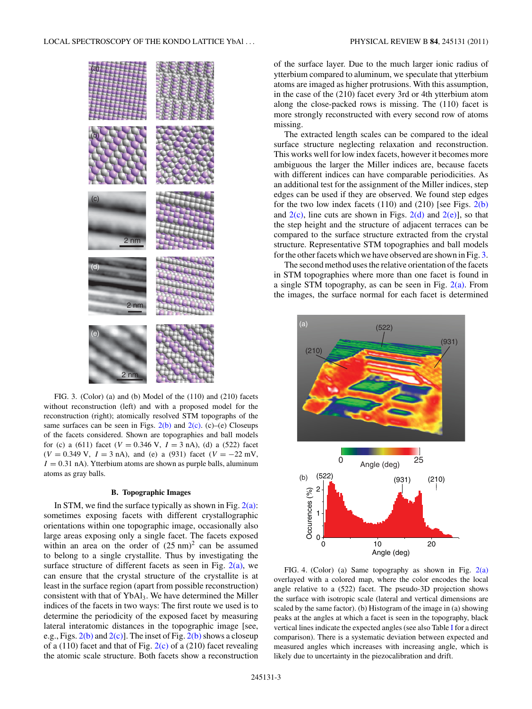<span id="page-2-0"></span>

FIG. 3. (Color) (a) and (b) Model of the (110) and (210) facets without reconstruction (left) and with a proposed model for the reconstruction (right); atomically resolved STM topographs of the same surfaces can be seen in Figs.  $2(b)$  and  $2(c)$ . (c)–(e) Closeups of the facets considered. Shown are topographies and ball models for (c) a (611) facet ( $V = 0.346$  V,  $I = 3$  nA), (d) a (522) facet  $(V = 0.349 \text{ V}, I = 3 \text{ nA})$ , and (e) a (931) facet  $(V = -22 \text{ mV})$ ,  $I = 0.31$  nA). Ytterbium atoms are shown as purple balls, aluminum atoms as gray balls.

#### **B. Topographic Images**

In STM, we find the surface typically as shown in Fig.  $2(a)$ : sometimes exposing facets with different crystallographic orientations within one topographic image, occasionally also large areas exposing only a single facet. The facets exposed within an area on the order of  $(25 \text{ nm})^2$  can be assumed to belong to a single crystallite. Thus by investigating the surface structure of different facets as seen in Fig.  $2(a)$ , we can ensure that the crystal structure of the crystallite is at least in the surface region (apart from possible reconstruction) consistent with that of YbAl3. We have determined the Miller indices of the facets in two ways: The first route we used is to determine the periodicity of the exposed facet by measuring lateral interatomic distances in the topographic image [see, e.g., Figs.  $2(b)$  and  $2(c)$ ]. The inset of Fig.  $2(b)$  shows a closeup of a  $(110)$  facet and that of Fig.  $2(c)$  of a  $(210)$  facet revealing the atomic scale structure. Both facets show a reconstruction of the surface layer. Due to the much larger ionic radius of ytterbium compared to aluminum, we speculate that ytterbium atoms are imaged as higher protrusions. With this assumption, in the case of the (210) facet every 3rd or 4th ytterbium atom along the close-packed rows is missing. The (110) facet is more strongly reconstructed with every second row of atoms missing.

The extracted length scales can be compared to the ideal surface structure neglecting relaxation and reconstruction. This works well for low index facets, however it becomes more ambiguous the larger the Miller indices are, because facets with different indices can have comparable periodicities. As an additional test for the assignment of the Miller indices, step edges can be used if they are observed. We found step edges for the two low index facets  $(110)$  and  $(210)$  [see Figs.  $2(b)$ ] and  $2(c)$ , line cuts are shown in Figs.  $2(d)$  and  $2(e)$ , so that the step height and the structure of adjacent terraces can be compared to the surface structure extracted from the crystal structure. Representative STM topographies and ball models for the other facets which we have observed are shown in Fig. 3.

The second method uses the relative orientation of the facets in STM topographies where more than one facet is found in a single STM topography, as can be seen in Fig.  $2(a)$ . From the images, the surface normal for each facet is determined



FIG. 4. (Color) (a) Same topography as shown in Fig.  $2(a)$ overlayed with a colored map, where the color encodes the local angle relative to a (522) facet. The pseudo-3D projection shows the surface with isotropic scale (lateral and vertical dimensions are scaled by the same factor). (b) Histogram of the image in (a) showing peaks at the angles at which a facet is seen in the topography, black vertical lines indicate the expected angles (see also Table [I](#page-3-0) for a direct comparison). There is a systematic deviation between expected and measured angles which increases with increasing angle, which is likely due to uncertainty in the piezocalibration and drift.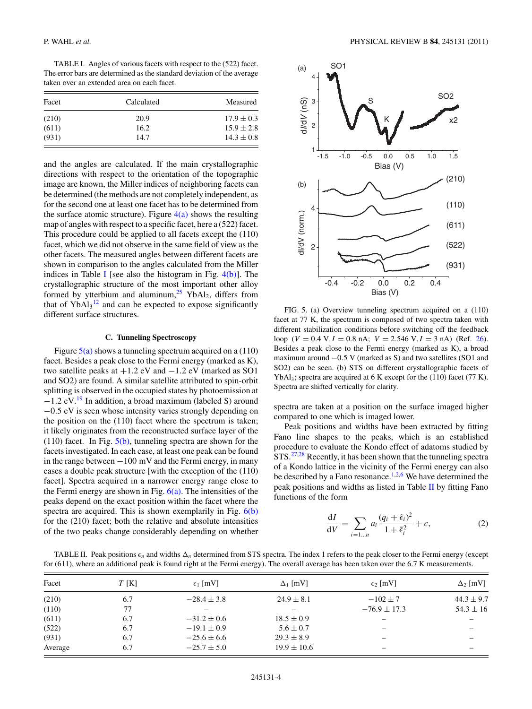<span id="page-3-0"></span>TABLE I. Angles of various facets with respect to the (522) facet. The error bars are determined as the standard deviation of the average taken over an extended area on each facet.

| Facet | Calculated | Measured       |  |
|-------|------------|----------------|--|
| (210) | 20.9       | $17.9 \pm 0.3$ |  |
| (611) | 16.2       | $15.9 \pm 2.8$ |  |
| (931) | 14.7       | $14.3 \pm 0.8$ |  |

and the angles are calculated. If the main crystallographic directions with respect to the orientation of the topographic image are known, the Miller indices of neighboring facets can be determined (the methods are not completely independent, as for the second one at least one facet has to be determined from the surface atomic structure). Figure  $4(a)$  shows the resulting map of angles with respect to a specific facet, here a (522) facet. This procedure could be applied to all facets except the (110) facet, which we did not observe in the same field of view as the other facets. The measured angles between different facets are shown in comparison to the angles calculated from the Miller indices in Table I [see also the histogram in Fig.  $4(b)$ ]. The crystallographic structure of the most important other alloy formed by ytterbium and aluminum, $^{25}$  $^{25}$  $^{25}$  YbAl<sub>2</sub>, differs from that of  $YbAl<sub>3</sub><sup>12</sup>$  $YbAl<sub>3</sub><sup>12</sup>$  $YbAl<sub>3</sub><sup>12</sup>$  and can be expected to expose significantly different surface structures.

## **C. Tunneling Spectroscopy**

Figure  $5(a)$  shows a tunneling spectrum acquired on a (110) facet. Besides a peak close to the Fermi energy (marked as K), two satellite peaks at +1*.*2 eV and −1*.*2 eV (marked as SO1 and SO2) are found. A similar satellite attributed to spin-orbit splitting is observed in the occupied states by photoemission at <sup>−</sup>1*.*2 eV.[19](#page-6-0) In addition, a broad maximum (labeled S) around −0*.*5 eV is seen whose intensity varies strongly depending on the position on the (110) facet where the spectrum is taken; it likely originates from the reconstructed surface layer of the (110) facet. In Fig.  $5(b)$ , tunneling spectra are shown for the facets investigated. In each case, at least one peak can be found in the range between  $-100$  mV and the Fermi energy, in many cases a double peak structure [with the exception of the (110) facet]. Spectra acquired in a narrower energy range close to the Fermi energy are shown in Fig.  $6(a)$ . The intensities of the peaks depend on the exact position within the facet where the spectra are acquired. This is shown exemplarily in Fig.  $6(b)$ for the (210) facet; both the relative and absolute intensities of the two peaks change considerably depending on whether



FIG. 5. (a) Overview tunneling spectrum acquired on a (110) facet at 77 K, the spectrum is composed of two spectra taken with different stabilization conditions before switching off the feedback loop (*V* = 0.4 V, *I* = 0.8 nA; *V* = 2.546 V, *I* = 3 nA) (Ref. [26\)](#page-6-0). Besides a peak close to the Fermi energy (marked as K), a broad maximum around −0*.*5 V (marked as S) and two satellites (SO1 and SO2) can be seen. (b) STS on different crystallographic facets of YbAl<sub>3</sub>; spectra are acquired at 6 K except for the (110) facet (77 K). Spectra are shifted vertically for clarity.

spectra are taken at a position on the surface imaged higher compared to one which is imaged lower.

Peak positions and widths have been extracted by fitting Fano line shapes to the peaks, which is an established procedure to evaluate the Kondo effect of adatoms studied by STS.<sup>27,28</sup> Recently, it has been shown that the tunneling spectra of a Kondo lattice in the vicinity of the Fermi energy can also be described by a Fano resonance.<sup>[1,2,6](#page-5-0)</sup> We have determined the peak positions and widths as listed in Table II by fitting Fano functions of the form

$$
\frac{\mathrm{d}I}{\mathrm{d}V} = \sum_{i=1...n} a_i \frac{(q_i + \tilde{\epsilon}_i)^2}{1 + \tilde{\epsilon}_i^2} + c,\tag{2}
$$

TABLE II. Peak positions  $\epsilon_n$  and widths  $\Delta_n$  determined from STS spectra. The index 1 refers to the peak closer to the Fermi energy (except for (611), where an additional peak is found right at the Fermi energy). The overall average has been taken over the 6.7 K measurements.

| Facet   | $T$ [K] | $\epsilon_1$ [mV] | $\Delta_1$ [mV] | $\epsilon_2$ [mV] | $\Delta_2$ [mV] |
|---------|---------|-------------------|-----------------|-------------------|-----------------|
| (210)   | 6.7     | $-28.4 \pm 3.8$   | $24.9 \pm 8.1$  | $-102 \pm 7$      | $44.3 \pm 9.7$  |
| (110)   | 77      |                   |                 | $-76.9 \pm 17.3$  | $54.3 \pm 16$   |
| (611)   | 6.7     | $-31.2 \pm 0.6$   | $18.5 \pm 0.9$  |                   |                 |
| (522)   | 6.7     | $-19.1 \pm 0.9$   | $5.6 \pm 0.7$   | -                 |                 |
| (931)   | 6.7     | $-25.6 \pm 6.6$   | $29.3 \pm 8.9$  | -                 |                 |
| Average | 6.7     | $-25.7 \pm 5.0$   | $19.9 \pm 10.6$ | –                 |                 |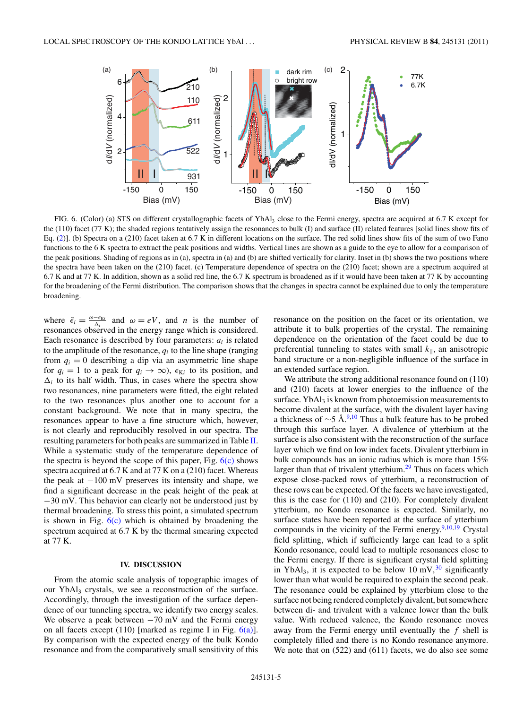<span id="page-4-0"></span>

FIG. 6. (Color) (a) STS on different crystallographic facets of YbAl3 close to the Fermi energy, spectra are acquired at 6.7 K except for the (110) facet (77 K); the shaded regions tentatively assign the resonances to bulk (I) and surface (II) related features [solid lines show fits of Eq. [\(2\)](#page-3-0)]. (b) Spectra on a (210) facet taken at 6.7 K in different locations on the surface. The red solid lines show fits of the sum of two Fano functions to the 6 K spectra to extract the peak positions and widths. Vertical lines are shown as a guide to the eye to allow for a comparison of the peak positions. Shading of regions as in (a), spectra in (a) and (b) are shifted vertically for clarity. Inset in (b) shows the two positions where the spectra have been taken on the (210) facet. (c) Temperature dependence of spectra on the (210) facet; shown are a spectrum acquired at 6.7 K and at 77 K. In addition, shown as a solid red line, the 6.7 K spectrum is broadened as if it would have been taken at 77 K by accounting for the broadening of the Fermi distribution. The comparison shows that the changes in spectra cannot be explained due to only the temperature broadening.

where  $\tilde{\epsilon}_i = \frac{\omega - \epsilon_{ki}}{\Delta_i}$  and  $\omega = eV$ , and *n* is the number of resonances observed in the energy range which is considered. Each resonance is described by four parameters:  $a_i$  is related to the amplitude of the resonance,  $q_i$  to the line shape (ranging from  $q_i = 0$  describing a dip via an asymmetric line shape for  $q_i = 1$  to a peak for  $q_i \rightarrow \infty$ ),  $\epsilon_{\text{K}i}$  to its position, and  $\Delta_i$  to its half width. Thus, in cases where the spectra show two resonances, nine parameters were fitted, the eight related to the two resonances plus another one to account for a constant background. We note that in many spectra, the resonances appear to have a fine structure which, however, is not clearly and reproducibly resolved in our spectra. The resulting parameters for both peaks are summarized in Table [II.](#page-3-0) While a systematic study of the temperature dependence of the spectra is beyond the scope of this paper, Fig.  $6(c)$  shows spectra acquired at 6.7 K and at 77 K on a (210) facet. Whereas the peak at  $-100$  mV preserves its intensity and shape, we find a significant decrease in the peak height of the peak at −30 mV. This behavior can clearly not be understood just by thermal broadening. To stress this point, a simulated spectrum is shown in Fig.  $6(c)$  which is obtained by broadening the spectrum acquired at 6.7 K by the thermal smearing expected at 77 K.

### **IV. DISCUSSION**

From the atomic scale analysis of topographic images of our YbAl<sub>3</sub> crystals, we see a reconstruction of the surface. Accordingly, through the investigation of the surface dependence of our tunneling spectra, we identify two energy scales. We observe a peak between  $-70$  mV and the Fermi energy on all facets except (110) [marked as regime I in Fig. 6(a)]. By comparison with the expected energy of the bulk Kondo resonance and from the comparatively small sensitivity of this resonance on the position on the facet or its orientation, we attribute it to bulk properties of the crystal. The remaining dependence on the orientation of the facet could be due to preferential tunneling to states with small *k*||, an anisotropic band structure or a non-negligible influence of the surface in an extended surface region.

We attribute the strong additional resonance found on  $(110)$ and (210) facets at lower energies to the influence of the surface. YbAl<sub>3</sub> is known from photoemission measurements to become divalent at the surface, with the divalent layer having a thickness of  $\sim$ 5 Å.<sup>[9,10](#page-5-0)</sup> Thus a bulk feature has to be probed through this surface layer. A divalence of ytterbium at the surface is also consistent with the reconstruction of the surface layer which we find on low index facets. Divalent ytterbium in bulk compounds has an ionic radius which is more than 15% larger than that of trivalent ytterbium.<sup>[29](#page-6-0)</sup> Thus on facets which expose close-packed rows of ytterbium, a reconstruction of these rows can be expected. Of the facets we have investigated, this is the case for (110) and (210). For completely divalent ytterbium, no Kondo resonance is expected. Similarly, no surface states have been reported at the surface of ytterbium compounds in the vicinity of the Fermi energy. $9,10,19$  $9,10,19$  Crystal field splitting, which if sufficiently large can lead to a split Kondo resonance, could lead to multiple resonances close to the Fermi energy. If there is significant crystal field splitting in YbAl3, it is expected to be below 10 mV*,* [30](#page-6-0) significantly lower than what would be required to explain the second peak. The resonance could be explained by ytterbium close to the surface not being rendered completely divalent, but somewhere between di- and trivalent with a valence lower than the bulk value. With reduced valence, the Kondo resonance moves away from the Fermi energy until eventually the *f* shell is completely filled and there is no Kondo resonance anymore. We note that on  $(522)$  and  $(611)$  facets, we do also see some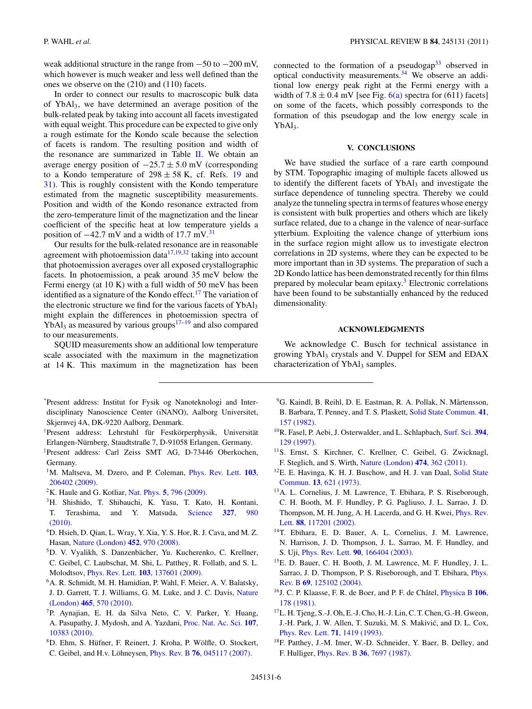<span id="page-5-0"></span>weak additional structure in the range from −50 to −200 mV, which however is much weaker and less well defined than the ones we observe on the (210) and (110) facets.

In order to connect our results to macroscopic bulk data of YbAl3, we have determined an average position of the bulk-related peak by taking into account all facets investigated with equal weight. This procedure can be expected to give only a rough estimate for the Kondo scale because the selection of facets is random. The resulting position and width of the resonance are summarized in Table [II.](#page-3-0) We obtain an average energy position of −25*.*7 ± 5*.*0 mV (corresponding to a Kondo temperature of  $298 \pm 58$  K, cf. Refs. [19](#page-6-0) and [31\)](#page-6-0). This is roughly consistent with the Kondo temperature estimated from the magnetic susceptibility measurements. Position and width of the Kondo resonance extracted from the zero-temperature limit of the magnetization and the linear coefficient of the specific heat at low temperature yields a position of <sup>−</sup>42*.*7 mV and a width of 17*.*7 mV.[31](#page-6-0)

Our results for the bulk-related resonance are in reasonable agreement with photoemission data $17,19,32$  $17,19,32$  taking into account that photoemission averages over all exposed crystallographic facets. In photoemission, a peak around 35 meV below the Fermi energy (at 10 K) with a full width of 50 meV has been identified as a signature of the Kondo effect.<sup>17</sup> The variation of the electronic structure we find for the various facets of YbAl3 might explain the differences in photoemission spectra of  $YbAl<sub>3</sub>$  as measured by various groups<sup>17[–19](#page-6-0)</sup> and also compared to our measurements.

SQUID measurements show an additional low temperature scale associated with the maximum in the magnetization at 14 K. This maximum in the magnetization has been

- \* Present address: Institut for Fysik og Nanoteknologi and Interdisciplinary Nanoscience Center (iNANO), Aalborg Universitet, Skjernvej 4A, DK-9220 Aalborg, Denmark.
- <sup>†</sup>Present address: Lehrstuhl für Festkörperphysik, Universität Erlangen-Nürnberg, Staudtstraße 7, D-91058 Erlangen, Germany.
- ‡ Present address: Carl Zeiss SMT AG, D-73446 Oberkochen, Germany.
- <sup>1</sup>M. Maltseva, M. Dzero, and P. Coleman, *[Phys. Rev. Lett.](http://dx.doi.org/10.1103/PhysRevLett.103.206402)* **103**, [206402 \(2009\).](http://dx.doi.org/10.1103/PhysRevLett.103.206402)
- 2K. Haule and G. Kotliar, Nat. Phys. **5**[, 796 \(2009\).](http://dx.doi.org/10.1038/nphys1392)
- 3H. Shishido, T. Shibauchi, K. Yasu, T. Kato, H. Kontani, T. Terashima, and Y. Matsuda, [Science](http://dx.doi.org/10.1126/science.1183376) **327**, 980 [\(2010\).](http://dx.doi.org/10.1126/science.1183376)
- 4D. Hsieh, D. Qian, L. Wray, Y. Xia, Y. S. Hor, R. J. Cava, and M. Z. Hasan, [Nature \(London\)](http://dx.doi.org/10.1038/nature06843) **452**, 970 (2008).
- <sup>5</sup>D. V. Vyalikh, S. Danzenbächer, Yu. Kucherenko, C. Krellner, C. Geibel, C. Laubschat, M. Shi, L. Patthey, R. Follath, and S. L. Molodtsov, Phys. Rev. Lett. **103**[, 137601 \(2009\).](http://dx.doi.org/10.1103/PhysRevLett.103.137601)
- 6A. R. Schmidt, M. H. Hamidian, P. Wahl, F. Meier, A. V. Balatsky, J. D. Garrett, T. J. Williams, G. M. Luke, and J. C. Davis, [Nature](http://dx.doi.org/10.1038/nature09073) (London) **465**[, 570 \(2010\).](http://dx.doi.org/10.1038/nature09073)
- 7P. Aynajian, E. H. da Silva Neto, C. V. Parker, Y. Huang, A. Pasupathy, J. Mydosh, and A. Yazdani, [Proc. Nat. Ac. Sci.](http://dx.doi.org/10.1073/pnas.1005892107) **107**, [10383 \(2010\).](http://dx.doi.org/10.1073/pnas.1005892107)
- <sup>8</sup>D. Ehm, S. Hüfner, F. Reinert, J. Kroha, P. Wölfle, O. Stockert, C. Geibel, and H.v. Löhneysen, *Phys. Rev. B* 76[, 045117 \(2007\).](http://dx.doi.org/10.1103/PhysRevB.76.045117)

connected to the formation of a pseudogap $33$  observed in optical conductivity measurements.<sup>34</sup> We observe an additional low energy peak right at the Fermi energy with a width of  $7.8 \pm 0.4$  mV [see Fig.  $6(a)$  spectra for  $(611)$  facets] on some of the facets, which possibly corresponds to the formation of this pseudogap and the low energy scale in YbAl<sub>3</sub>.

# **V. CONCLUSIONS**

We have studied the surface of a rare earth compound by STM. Topographic imaging of multiple facets allowed us to identify the different facets of YbAl<sub>3</sub> and investigate the surface dependence of tunneling spectra. Thereby we could analyze the tunneling spectra in terms of features whose energy is consistent with bulk properties and others which are likely surface related, due to a change in the valence of near-surface ytterbium. Exploiting the valence change of ytterbium ions in the surface region might allow us to investigate electron correlations in 2D systems, where they can be expected to be more important than in 3D systems. The preparation of such a 2D Kondo lattice has been demonstrated recently for thin films prepared by molecular beam epitaxy.<sup>3</sup> Electronic correlations have been found to be substantially enhanced by the reduced dimensionality.

# **ACKNOWLEDGMENTS**

We acknowledge C. Busch for technical assistance in growing YbAl3 crystals and V. Duppel for SEM and EDAX characterization of YbAl<sub>3</sub> samples.

- <sup>9</sup>G. Kaindl, B. Reihl, D. E. Eastman, R. A. Pollak, N. Mårtensson, B. Barbara, T. Penney, and T. S. Plaskett, [Solid State Commun.](http://dx.doi.org/10.1016/0038-1098(82)91057-2) **41**, [157 \(1982\).](http://dx.doi.org/10.1016/0038-1098(82)91057-2)
- 10R. Fasel, P. Aebi, J. Osterwalder, and L. Schlapbach, [Surf. Sci.](http://dx.doi.org/10.1016/S0039-6028(97)00599-2) **394**, [129 \(1997\).](http://dx.doi.org/10.1016/S0039-6028(97)00599-2)
- 11S. Ernst, S. Kirchner, C. Krellner, C. Geibel, G. Zwicknagl, F. Steglich, and S. Wirth, [Nature \(London\)](http://dx.doi.org/10.1038/nature10148) **474**, 362 (2011).
- 12E. E. Havinga, K. H. J. Buschow, and H. J. van Daal, [Solid State](http://dx.doi.org/10.1016/S0038-1098(73)80026-2) Commun. **13**[, 621 \(1973\).](http://dx.doi.org/10.1016/S0038-1098(73)80026-2)
- 13A. L. Cornelius, J. M. Lawrence, T. Ebihara, P. S. Riseborough, C. H. Booth, M. F. Hundley, P. G. Pagliuso, J. L. Sarrao, J. D. Thompson, M. H. Jung, A. H. Lacerda, and G. H. Kwei, [Phys. Rev.](http://dx.doi.org/10.1103/PhysRevLett.88.117201) Lett. **88**[, 117201 \(2002\).](http://dx.doi.org/10.1103/PhysRevLett.88.117201)
- 14T. Ebihara, E. D. Bauer, A. L. Cornelius, J. M. Lawrence, N. Harrison, J. D. Thompson, J. L. Sarrao, M. F. Hundley, and S. Uji, Phys. Rev. Lett. **90**[, 166404 \(2003\).](http://dx.doi.org/10.1103/PhysRevLett.90.166404)
- 15E. D. Bauer, C. H. Booth, J. M. Lawrence, M. F. Hundley, J. L. Sarrao, J. D. Thompson, P. S. Riseborough, and T. Ebihara, [Phys.](http://dx.doi.org/10.1103/PhysRevB.69.125102) Rev. B **69**[, 125102 \(2004\).](http://dx.doi.org/10.1103/PhysRevB.69.125102)
- <sup>16</sup>J. C. P. Klaasse, F. R. de Boer, and P. F. de Châtel, *[Physica B](http://dx.doi.org/10.1016/0378-4363(81)90078-4)* 106, [178 \(1981\).](http://dx.doi.org/10.1016/0378-4363(81)90078-4)
- 17L. H. Tjeng, S.-J. Oh, E.-J. Cho, H.-J. Lin, C. T. Chen, G.-H. Gweon, J.-H. Park, J. W. Allen, T. Suzuki, M. S. Makivic, and D. L. Cox, ´ [Phys. Rev. Lett.](http://dx.doi.org/10.1103/PhysRevLett.71.1419) **71**, 1419 (1993).
- <sup>18</sup>F. Patthey, J.-M. Imer, W.-D. Schneider, Y. Baer, B. Delley, and F. Hulliger, Phys. Rev. B **36**[, 7697 \(1987\).](http://dx.doi.org/10.1103/PhysRevB.36.7697)